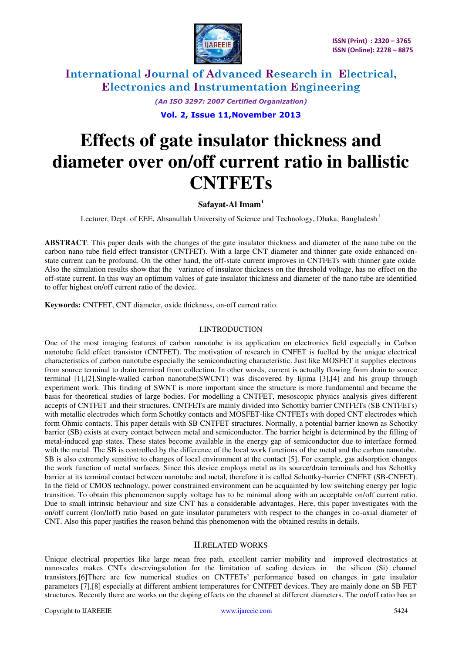

> *(An ISO 3297: 2007 Certified Organization)*  **Vol. 2, Issue 11,November 2013**

# **Effects of gate insulator thickness and diameter over on/off current ratio in ballistic CNTFETs**

## **Safayat-Al Imam<sup>1</sup>**

Lecturer, Dept. of EEE, Ahsanullah University of Science and Technology, Dhaka, Bangladesh<sup>1</sup>

**ABSTRACT**: This paper deals with the changes of the gate insulator thickness and diameter of the nano tube on the carbon nano tube field effect transistor (CNTFET). With a large CNT diameter and thinner gate oxide enhanced onstate current can be profound. On the other hand, the off-state current improves in CNTFETs with thinner gate oxide. Also the simulation results show that the variance of insulator thickness on the threshold voltage, has no effect on the off-state current. In this way an optimum values of gate insulator thickness and diameter of the nano tube are identified to offer highest on/off current ratio of the device.

**Keywords:** CNTFET, CNT diameter, oxide thickness, on-off current ratio.

### I.INTRODUCTION

One of the most imaging features of carbon nanotube is its application on electronics field especially in Carbon nanotube field effect transistor (CNTFET). The motivation of research in CNFET is fuelled by the unique electrical characteristics of carbon nanotube especially the semiconducting characteristic. Just like MOSFET it supplies electrons from source terminal to drain terminal from collection. In other words, current is actually flowing from drain to source terminal [1],[2].Single-walled carbon nanotube(SWCNT) was discovered by Iijima [3],[4] and his group through experiment work. This finding of SWNT is more important since the structure is more fundamental and became the basis for theoretical studies of large bodies. For modelling a CNTFET, mesoscopic physics analysis gives different accepts of CNTFET and their structures. CNTFETs are mainly divided into Schottky barrier CNTFETs (SB CNTFETs) with metallic electrodes which form Schottky contacts and MOSFET-like CNTFETs with doped CNT electrodes which form Ohmic contacts. This paper details with SB CNTFET structures. Normally, a potential barrier known as Schottky barrier (SB) exists at every contact between metal and semiconductor. The barrier height is determined by the filling of metal-induced gap states. These states become available in the energy gap of semiconductor due to interface formed with the metal. The SB is controlled by the difference of the local work functions of the metal and the carbon nanotube. SB is also extremely sensitive to changes of local environment at the contact [5]. For example, gas adsorption changes the work function of metal surfaces. Since this device employs metal as its source/drain terminals and has Schottky barrier at its terminal contact between nanotube and metal, therefore it is called Schottky-barrier CNFET (SB-CNFET). In the field of CMOS technology, power constrained environment can be acquainted by low switching energy per logic transition. To obtain this phenomenon supply voltage has to be minimal along with an acceptable on/off current ratio. Due to small intrinsic behaviour and size CNT has a considerable advantages. Here, this paper investigates with the on/off current (Ion/Ioff) ratio based on gate insulator parameters with respect to the changes in co-axial diameter of CNT. Also this paper justifies the reason behind this phenomenon with the obtained results in details.

### II.RELATED WORKS

Unique electrical properties like large mean free path, excellent carrier mobility and improved electrostatics at nanoscales makes CNTs deservingsolution for the limitation of scaling devices in the silicon (Si) channel transistors.[6]There are few numerical studies on CNTFETs' performance based on changes in gate insulator parameters [7],[8] especially at different ambient temperatures for CNTFET devices. They are mainly done on SB FET structures. Recently there are works on the doping effects on the channel at different diameters. The on/off ratio has an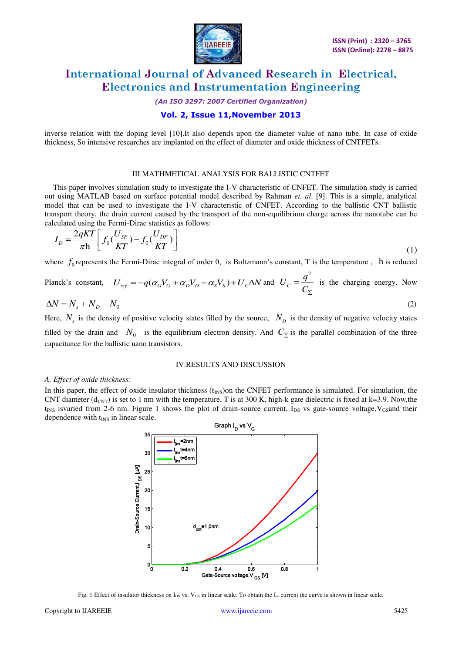

*(An ISO 3297: 2007 Certified Organization)* 

### **Vol. 2, Issue 11,November 2013**

inverse relation with the doping level [10].It also depends upon the diameter value of nano tube. In case of oxide thickness, So intensive researches are implanted on the effect of diameter and oxide thickness of CNTFETs.

#### III.MATHMETICAL ANALYSIS FOR BALLISTIC CNTFET

This paper involves simulation study to investigate the I-V characteristic of CNFET. The simulation study is carried out using MATLAB based on surface potential model described by Rahman *et. al*. [9]. This is a simple, analytical model that can be used to investigate the I-V characteristic of CNFET. According to the ballistic CNT ballistic transport theory, the drain current caused by the transport of the non-equilibrium charge across the nanotube can be calculated using the Fermi-Dirac statistics as follows:

$$
I_D = \frac{2qKT}{\pi h} \left[ f_0 \left( \frac{U_{SF}}{KT} \right) - f_0 \left( \frac{U_{DF}}{KT} \right) \right]
$$
\n(1)

where  $f_0$  represents the Fermi-Dirac integral of order 0, is Boltzmann's constant, T is the temperature, h is reduced

Planck's constant, 
$$
U_{scf} = -q(\alpha_G V_G + \alpha_D V_D + \alpha_S V_S) + U_C \Delta N
$$
 and  $U_C = \frac{q^2}{C_{\Sigma}}$  is the charging energy. Now

$$
\Delta N = N_s + N_D - N_0 \tag{2}
$$

Here,  $N_s$  is the density of positive velocity states filled by the source,  $N_p$  is the density of negative velocity states filled by the drain and  $N_0$  is the equilibrium electron density. And  $C_{\Sigma}$  is the parallel combination of the three capacitance for the ballistic nano transistors.

#### IV.RESULTS AND DISCUSSION

#### *A. Effect of oxide thickness:*

In this paper, the effect of oxide insulator thickness  $(t_{INS})$ on the CNFET performance is simulated. For simulation, the CNT diameter ( $d_{CNT}$ ) is set to 1 nm with the temperature, T is at 300 K, high-k gate dielectric is fixed at k=3.9. Now,the  $t_{INS}$  isvaried from 2-6 nm. Figure 1 shows the plot of drain-source current,  $I_{DS}$  vs gate-source voltage,  $V_{GS}$ and their dependence with  $t_{INS}$  in linear scale.



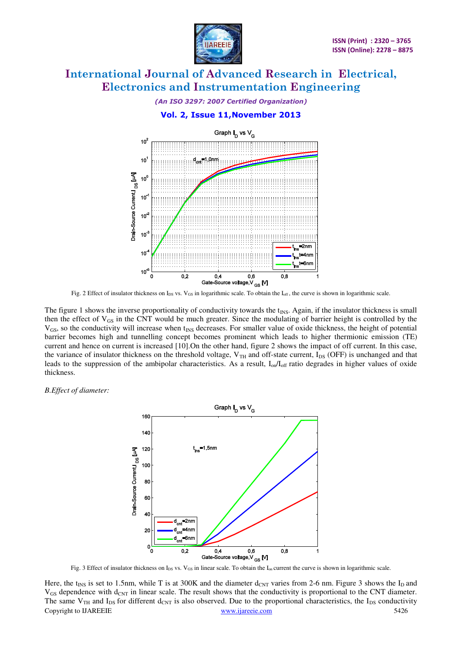

*(An ISO 3297: 2007 Certified Organization)* 



Fig. 2 Effect of insulator thickness on  $I_{DS}$  vs.  $V_{GS}$  in logarithmic scale. To obtain the  $I_{off}$ , the curve is shown in logarithmic scale.

The figure 1 shows the inverse proportionality of conductivity towards the  $t_{\text{INS}}$ . Again, if the insulator thickness is small then the effect of  $V_{GS}$  in the CNT would be much greater. Since the modulating of barrier height is controlled by the  $V_{GS}$ , so the conductivity will increase when  $t_{NS}$  decreases. For smaller value of oxide thickness, the height of potential barrier becomes high and tunnelling concept becomes prominent which leads to higher thermionic emission (TE) current and hence on current is increased [10].On the other hand, figure 2 shows the impact of off current. In this case, the variance of insulator thickness on the threshold voltage,  $V_{TH}$  and off-state current,  $I_{DS}$  (OFF) is unchanged and that leads to the suppression of the ambipolar characteristics. As a result,  $I_{on}/I_{off}$  ratio degrades in higher values of oxide thickness.

*B.Effect of diameter:*



Fig. 3 Effect of insulator thickness on  $I_{DS}$  vs. V<sub>GS</sub> in linear scale. To obtain the  $I_{on}$  current the curve is shown in logarithmic scale.

Copyright to IJAREEIE [www.ijareeie.com](http://www.ijareeie.com/) 5426 Here, the t<sub>INS</sub> is set to 1.5nm, while T is at 300K and the diameter  $d_{CNT}$  varies from 2-6 nm. Figure 3 shows the I<sub>D</sub> and  $V_{GS}$  dependence with  $d_{CNT}$  in linear scale. The result shows that the conductivity is proportional to the CNT diameter. The same  $V_{TH}$  and  $I_{DS}$  for different  $d_{CNT}$  is also observed. Due to the proportional characteristics, the  $I_{DS}$  conductivity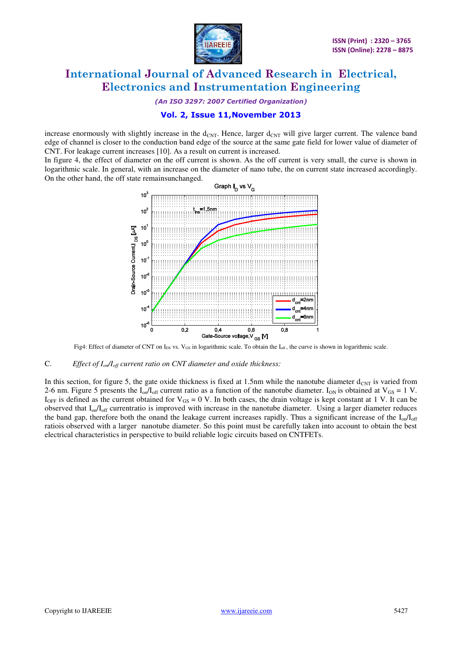

*(An ISO 3297: 2007 Certified Organization)* 

### **Vol. 2, Issue 11,November 2013**

increase enormously with slightly increase in the  $d_{CNT}$ . Hence, larger  $d_{CNT}$  will give larger current. The valence band edge of channel is closer to the conduction band edge of the source at the same gate field for lower value of diameter of CNT. For leakage current increases [10]. As a result on current is increased.

In figure 4, the effect of diameter on the off current is shown. As the off current is very small, the curve is shown in logarithmic scale. In general, with an increase on the diameter of nano tube, the on current state increased accordingly. On the other hand, the off state remainsunchanged.



Fig4: Effect of diameter of CNT on  $I_{DS}$  vs. V<sub>GS</sub> in logarithmic scale. To obtain the  $I_{off}$ , the curve is shown in logarithmic scale.

#### C. *Effect of Ion/Ioff current ratio on CNT diameter and oxide thickness:*

In this section, for figure 5, the gate oxide thickness is fixed at 1.5nm while the nanotube diameter  $d_{\text{CNT}}$  is varied from 2-6 nm. Figure 5 presents the  $I_{on}/I_{off}$  current ratio as a function of the nanotube diameter.  $I_{ON}$  is obtained at  $V_{GS} = 1$  V.  $I_{OFF}$  is defined as the current obtained for  $V_{GS} = 0$  V. In both cases, the drain voltage is kept constant at 1 V. It can be observed that I<sub>on</sub>/I<sub>off</sub> currentratio is improved with increase in the nanotube diameter. Using a larger diameter reduces the band gap, therefore both the onand the leakage current increases rapidly. Thus a significant increase of the  $I_{on}/I_{off}$ ratiois observed with a larger nanotube diameter. So this point must be carefully taken into account to obtain the best electrical characteristics in perspective to build reliable logic circuits based on CNTFETs.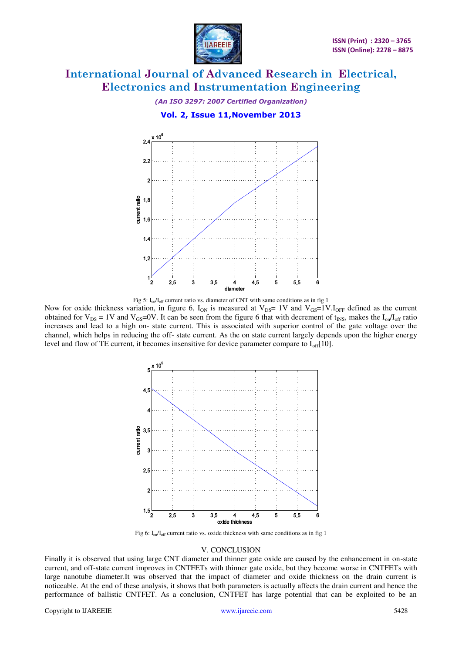

# *(An ISO 3297: 2007 Certified Organization)*  **Vol. 2, Issue 11,November 2013**



Fig 5:  $I_{on}/I_{off}$  current ratio vs. diameter of CNT with same conditions as in fig 1

Now for oxide thickness variation, in figure 6,  $I_{ON}$  is measured at  $V_{DS}=1V$  and  $V_{GS}=1V.I_{OFF}$  defined as the current obtained for  $V_{DS} = 1V$  and  $V_{GS} = 0V$ . It can be seen from the figure 6 that with decrement of t<sub>INS</sub>, makes the I<sub>on</sub>/I<sub>off</sub> ratio increases and lead to a high on- state current. This is associated with superior control of the gate voltage over the channel, which helps in reducing the off- state current. As the on state current largely depends upon the higher energy level and flow of TE current, it becomes insensitive for device parameter compare to  $I_{off}[10]$ .



Fig 6:  $I_{on}/I_{off}$  current ratio vs. oxide thickness with same conditions as in fig 1

#### V. CONCLUSION

Finally it is observed that using large CNT diameter and thinner gate oxide are caused by the enhancement in on-state current, and off-state current improves in CNTFETs with thinner gate oxide, but they become worse in CNTFETs with large nanotube diameter.It was observed that the impact of diameter and oxide thickness on the drain current is noticeable. At the end of these analysis, it shows that both parameters is actually affects the drain current and hence the performance of ballistic CNTFET. As a conclusion, CNTFET has large potential that can be exploited to be an